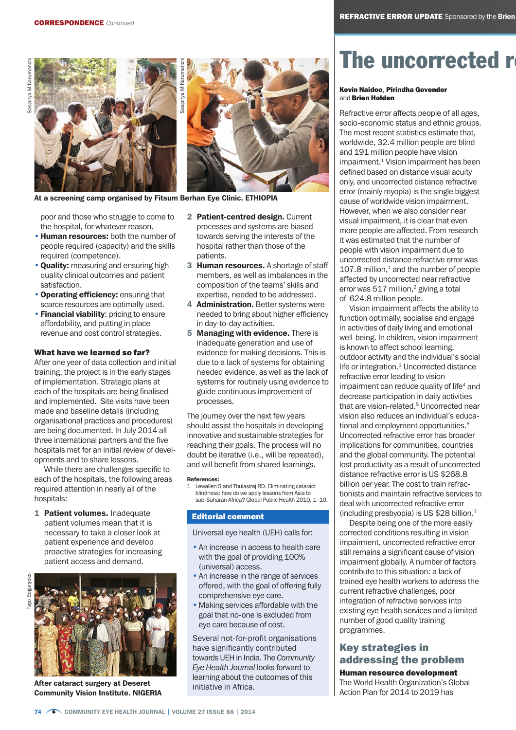

At a screening camp organised by Fitsum Berhan Eye Clinic. ETHIOPIA

poor and those who struggle to come to the hospital, for whatever reason.

- Human resources: both the number of people required (capacity) and the skills required (competence).
- Quality: measuring and ensuring high quality clinical outcomes and patient satisfaction.
- Operating efficiency: ensuring that scarce resources are optimally used.
- Financial viability: pricing to ensure affordability, and putting in place revenue and cost control strategies.

### What have we learned so far?

After one year of data collection and initial training, the project is in the early stages of implementation. Strategic plans at each of the hospitals are being finalised and implemented. Site visits have been made and baseline details (including organisational practices and procedures) are being documented. In July 2014 all three international partners and the five hospitals met for an initial review of developments and to share lessons.

While there are challenges specific to each of the hospitals, the following areas required attention in nearly all of the hospitals:

1 Patient volumes. Inadequate patient volumes mean that it is necessary to take a closer look at patient experience and develop proactive strategies for increasing patient access and demand.



After cataract surgery at Deseret Community Vision Institute. NIGERIA

- 2 Patient-centred design. Current processes and systems are biased towards serving the interests of the hospital rather than those of the patients.
- 3 Human resources. A shortage of staff members, as well as imbalances in the composition of the teams' skills and expertise, needed to be addressed.
- 4 Administration. Better systems were needed to bring about higher efficiency in day-to-day activities.
- 5 Managing with evidence. There is inadequate generation and use of evidence for making decisions. This is due to a lack of systems for obtaining needed evidence, as well as the lack of systems for routinely using evidence to guide continuous improvement of processes.

The journey over the next few years should assist the hospitals in developing innovative and sustainable strategies for reaching their goals. The process will no doubt be iterative (i.e., will be repeated), and will benefit from shared learnings.

#### References:

Lewallen S and Thulasiraj RD. Eliminating cataract blindness: how do we apply lessons from Asia to sub-Saharan Africa? Global Public Health 2010, 1–10.

## Editorial comment

Universal eye health (UEH) calls for:

- An increase in access to health care with the goal of providing 100% (universal) access.
- An increase in the range of services offered, with the goal of offering fully comprehensive eye care.
- Making services affordable with the goal that no-one is excluded from eye care because of cost.

Several not-for-profit organisations have significantly contributed towards UEH in India. The *Community Eye Health Journal* looks forward to learning about the outcomes of this initiative in Africa.

# The uncorrected r

### Kovin Naidoo, Pirindha Govender and Brien Holden

Refractive error affects people of all ages, socio-economic status and ethnic groups. The most recent statistics estimate that, worldwide, 32.4 million people are blind and 191 million people have vision impairment.<sup>1</sup> Vision impairment has been defined based on distance visual acuity only, and uncorrected distance refractive error (mainly myopia) is the single biggest cause of worldwide vision impairment. However, when we also consider near visual impairment, it is clear that even more people are affected. From research it was estimated that the number of people with vision impairment due to uncorrected distance refractive error was  $107.8$  million, $<sup>1</sup>$  and the number of people</sup> affected by uncorrected near refractive error was  $517$  million,<sup>2</sup> giving a total of 624.8 million people.

Vision impairment affects the ability to function optimally, socialise and engage in activities of daily living and emotional well-being. In children, vision impairment is known to affect school learning, outdoor activity and the individual's social life or integration.<sup>3</sup> Uncorrected distance refractive error leading to vision impairment can reduce quality of life<sup>4</sup> and decrease participation in daily activities that are vision-related.<sup>5</sup> Uncorrected near vision also reduces an individual's educational and employment opportunities.<sup>6</sup> Uncorrected refractive error has broader implications for communities, countries and the global community. The potential lost productivity as a result of uncorrected distance refractive error is US \$268.8 billion per year. The cost to train refractionists and maintain refractive services to deal with uncorrected refractive error (including presbyopia) is US \$28 billion.7

Despite being one of the more easily corrected conditions resulting in vision impairment, uncorrected refractive error still remains a significant cause of vision impairment globally. A number of factors contribute to this situation: a lack of trained eye health workers to address the current refractive challenges, poor integration of refractive services into existing eye health services and a limited number of good quality training programmes.

# Key strategies in addressing the problem

Human resource development The World Health Organization's Global Action Plan for 2014 to 2019 has